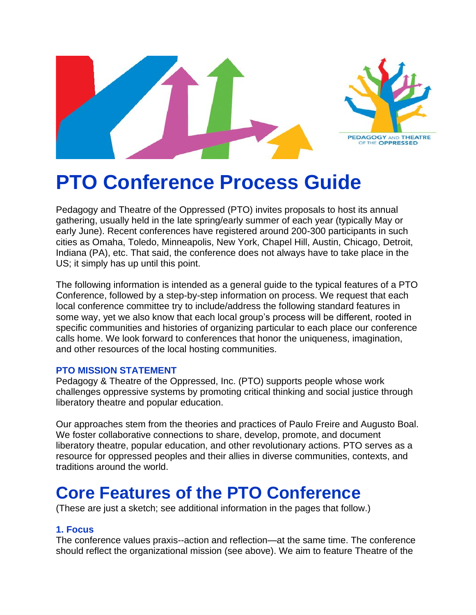

# **PTO Conference Process Guide**

Pedagogy and Theatre of the Oppressed (PTO) invites proposals to host its annual gathering, usually held in the late spring/early summer of each year (typically May or early June). Recent conferences have registered around 200-300 participants in such cities as Omaha, Toledo, Minneapolis, New York, Chapel Hill, Austin, Chicago, Detroit, Indiana (PA), etc. That said, the conference does not always have to take place in the US; it simply has up until this point.

The following information is intended as a general guide to the typical features of a PTO Conference, followed by a step-by-step information on process. We request that each local conference committee try to include/address the following standard features in some way, yet we also know that each local group's process will be different, rooted in specific communities and histories of organizing particular to each place our conference calls home. We look forward to conferences that honor the uniqueness, imagination, and other resources of the local hosting communities.

#### **PTO MISSION STATEMENT**

Pedagogy & Theatre of the Oppressed, Inc. (PTO) supports people whose work challenges oppressive systems by promoting critical thinking and social justice through liberatory theatre and popular education.

Our approaches stem from the theories and practices of Paulo Freire and Augusto Boal. We foster collaborative connections to share, develop, promote, and document liberatory theatre, popular education, and other revolutionary actions. PTO serves as a resource for oppressed peoples and their allies in diverse communities, contexts, and traditions around the world.

### **Core Features of the PTO Conference**

(These are just a sketch; see additional information in the pages that follow.)

#### **1. Focus**

The conference values praxis--action and reflection—at the same time. The conference should reflect the organizational mission (see above). We aim to feature Theatre of the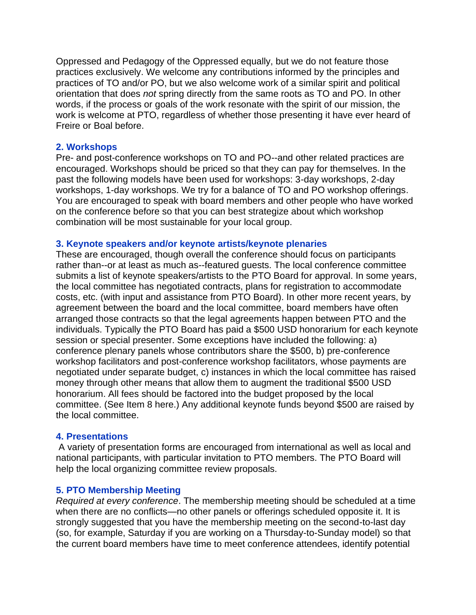Oppressed and Pedagogy of the Oppressed equally, but we do not feature those practices exclusively. We welcome any contributions informed by the principles and practices of TO and/or PO, but we also welcome work of a similar spirit and political orientation that does *not* spring directly from the same roots as TO and PO. In other words, if the process or goals of the work resonate with the spirit of our mission, the work is welcome at PTO, regardless of whether those presenting it have ever heard of Freire or Boal before.

#### **2. Workshops**

Pre- and post-conference workshops on TO and PO--and other related practices are encouraged. Workshops should be priced so that they can pay for themselves. In the past the following models have been used for workshops: 3-day workshops, 2-day workshops, 1-day workshops. We try for a balance of TO and PO workshop offerings. You are encouraged to speak with board members and other people who have worked on the conference before so that you can best strategize about which workshop combination will be most sustainable for your local group.

#### **3. Keynote speakers and/or keynote artists/keynote plenaries**

These are encouraged, though overall the conference should focus on participants rather than--or at least as much as--featured guests. The local conference committee submits a list of keynote speakers/artists to the PTO Board for approval. In some years, the local committee has negotiated contracts, plans for registration to accommodate costs, etc. (with input and assistance from PTO Board). In other more recent years, by agreement between the board and the local committee, board members have often arranged those contracts so that the legal agreements happen between PTO and the individuals. Typically the PTO Board has paid a \$500 USD honorarium for each keynote session or special presenter. Some exceptions have included the following: a) conference plenary panels whose contributors share the \$500, b) pre-conference workshop facilitators and post-conference workshop facilitators, whose payments are negotiated under separate budget, c) instances in which the local committee has raised money through other means that allow them to augment the traditional \$500 USD honorarium. All fees should be factored into the budget proposed by the local committee. (See Item 8 here.) Any additional keynote funds beyond \$500 are raised by the local committee.

#### **4. Presentations**

A variety of presentation forms are encouraged from international as well as local and national participants, with particular invitation to PTO members. The PTO Board will help the local organizing committee review proposals.

#### **5. PTO Membership Meeting**

*Required at every conference*. The membership meeting should be scheduled at a time when there are no conflicts—no other panels or offerings scheduled opposite it. It is strongly suggested that you have the membership meeting on the second-to-last day (so, for example, Saturday if you are working on a Thursday-to-Sunday model) so that the current board members have time to meet conference attendees, identify potential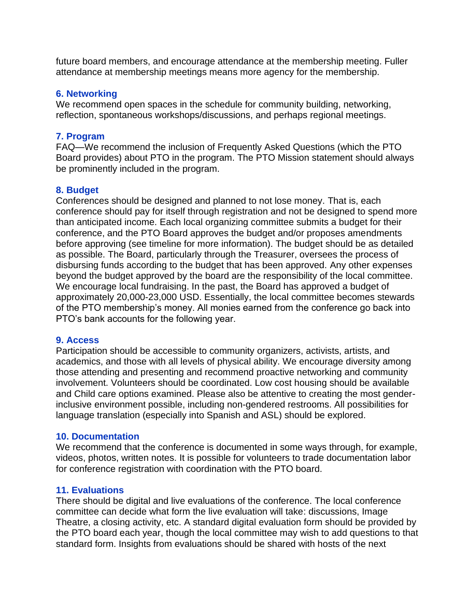future board members, and encourage attendance at the membership meeting. Fuller attendance at membership meetings means more agency for the membership.

#### **6. Networking**

We recommend open spaces in the schedule for community building, networking, reflection, spontaneous workshops/discussions, and perhaps regional meetings.

#### **7. Program**

FAQ—We recommend the inclusion of Frequently Asked Questions (which the PTO Board provides) about PTO in the program. The PTO Mission statement should always be prominently included in the program.

#### **8. Budget**

Conferences should be designed and planned to not lose money. That is, each conference should pay for itself through registration and not be designed to spend more than anticipated income. Each local organizing committee submits a budget for their conference, and the PTO Board approves the budget and/or proposes amendments before approving (see timeline for more information). The budget should be as detailed as possible. The Board, particularly through the Treasurer, oversees the process of disbursing funds according to the budget that has been approved. Any other expenses beyond the budget approved by the board are the responsibility of the local committee. We encourage local fundraising. In the past, the Board has approved a budget of approximately 20,000-23,000 USD. Essentially, the local committee becomes stewards of the PTO membership's money. All monies earned from the conference go back into PTO's bank accounts for the following year.

#### **9. Access**

Participation should be accessible to community organizers, activists, artists, and academics, and those with all levels of physical ability. We encourage diversity among those attending and presenting and recommend proactive networking and community involvement. Volunteers should be coordinated. Low cost housing should be available and Child care options examined. Please also be attentive to creating the most genderinclusive environment possible, including non-gendered restrooms. All possibilities for language translation (especially into Spanish and ASL) should be explored.

#### **10. Documentation**

We recommend that the conference is documented in some ways through, for example, videos, photos, written notes. It is possible for volunteers to trade documentation labor for conference registration with coordination with the PTO board.

#### **11. Evaluations**

There should be digital and live evaluations of the conference. The local conference committee can decide what form the live evaluation will take: discussions, Image Theatre, a closing activity, etc. A standard digital evaluation form should be provided by the PTO board each year, though the local committee may wish to add questions to that standard form. Insights from evaluations should be shared with hosts of the next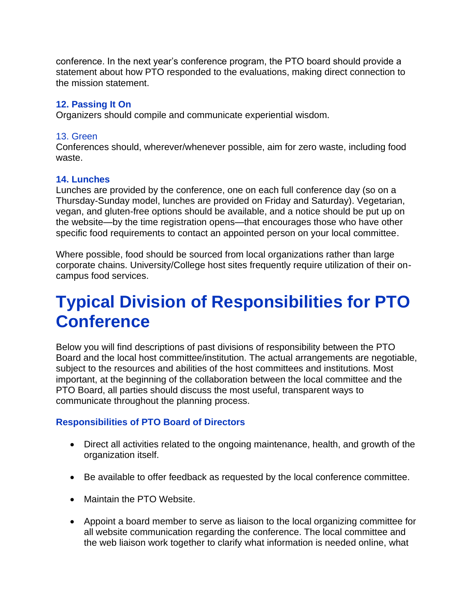conference. In the next year's conference program, the PTO board should provide a statement about how PTO responded to the evaluations, making direct connection to the mission statement.

#### **12. Passing It On**

Organizers should compile and communicate experiential wisdom.

#### 13. Green

Conferences should, wherever/whenever possible, aim for zero waste, including food waste.

#### **14. Lunches**

Lunches are provided by the conference, one on each full conference day (so on a Thursday-Sunday model, lunches are provided on Friday and Saturday). Vegetarian, vegan, and gluten-free options should be available, and a notice should be put up on the website—by the time registration opens—that encourages those who have other specific food requirements to contact an appointed person on your local committee.

Where possible, food should be sourced from local organizations rather than large corporate chains. University/College host sites frequently require utilization of their oncampus food services.

### **Typical Division of Responsibilities for PTO Conference**

Below you will find descriptions of past divisions of responsibility between the PTO Board and the local host committee/institution. The actual arrangements are negotiable, subject to the resources and abilities of the host committees and institutions. Most important, at the beginning of the collaboration between the local committee and the PTO Board, all parties should discuss the most useful, transparent ways to communicate throughout the planning process.

#### **Responsibilities of PTO Board of Directors**

- Direct all activities related to the ongoing maintenance, health, and growth of the organization itself.
- Be available to offer feedback as requested by the local conference committee.
- Maintain the PTO Website.
- Appoint a board member to serve as liaison to the local organizing committee for all website communication regarding the conference. The local committee and the web liaison work together to clarify what information is needed online, what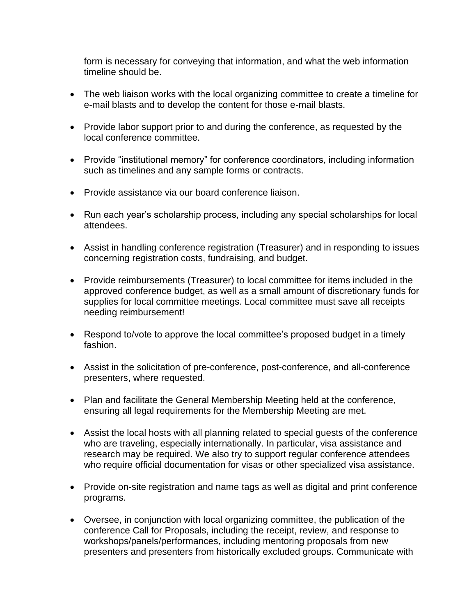form is necessary for conveying that information, and what the web information timeline should be.

- The web liaison works with the local organizing committee to create a timeline for e-mail blasts and to develop the content for those e-mail blasts.
- Provide labor support prior to and during the conference, as requested by the local conference committee.
- Provide "institutional memory" for conference coordinators, including information such as timelines and any sample forms or contracts.
- Provide assistance via our board conference liaison.
- Run each year's scholarship process, including any special scholarships for local attendees.
- Assist in handling conference registration (Treasurer) and in responding to issues concerning registration costs, fundraising, and budget.
- Provide reimbursements (Treasurer) to local committee for items included in the approved conference budget, as well as a small amount of discretionary funds for supplies for local committee meetings. Local committee must save all receipts needing reimbursement!
- Respond to/vote to approve the local committee's proposed budget in a timely fashion.
- Assist in the solicitation of pre-conference, post-conference, and all-conference presenters, where requested.
- Plan and facilitate the General Membership Meeting held at the conference, ensuring all legal requirements for the Membership Meeting are met.
- Assist the local hosts with all planning related to special guests of the conference who are traveling, especially internationally. In particular, visa assistance and research may be required. We also try to support regular conference attendees who require official documentation for visas or other specialized visa assistance.
- Provide on-site registration and name tags as well as digital and print conference programs.
- Oversee, in conjunction with local organizing committee, the publication of the conference Call for Proposals, including the receipt, review, and response to workshops/panels/performances, including mentoring proposals from new presenters and presenters from historically excluded groups. Communicate with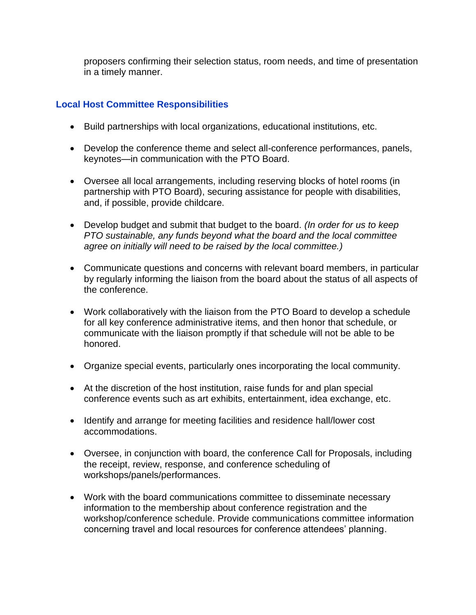proposers confirming their selection status, room needs, and time of presentation in a timely manner.

#### **Local Host Committee Responsibilities**

- Build partnerships with local organizations, educational institutions, etc.
- Develop the conference theme and select all-conference performances, panels, keynotes—in communication with the PTO Board.
- Oversee all local arrangements, including reserving blocks of hotel rooms (in partnership with PTO Board), securing assistance for people with disabilities, and, if possible, provide childcare.
- Develop budget and submit that budget to the board. *(In order for us to keep PTO sustainable, any funds beyond what the board and the local committee agree on initially will need to be raised by the local committee.)*
- Communicate questions and concerns with relevant board members, in particular by regularly informing the liaison from the board about the status of all aspects of the conference.
- Work collaboratively with the liaison from the PTO Board to develop a schedule for all key conference administrative items, and then honor that schedule, or communicate with the liaison promptly if that schedule will not be able to be honored.
- Organize special events, particularly ones incorporating the local community.
- At the discretion of the host institution, raise funds for and plan special conference events such as art exhibits, entertainment, idea exchange, etc.
- Identify and arrange for meeting facilities and residence hall/lower cost accommodations.
- Oversee, in conjunction with board, the conference Call for Proposals, including the receipt, review, response, and conference scheduling of workshops/panels/performances.
- Work with the board communications committee to disseminate necessary information to the membership about conference registration and the workshop/conference schedule. Provide communications committee information concerning travel and local resources for conference attendees' planning.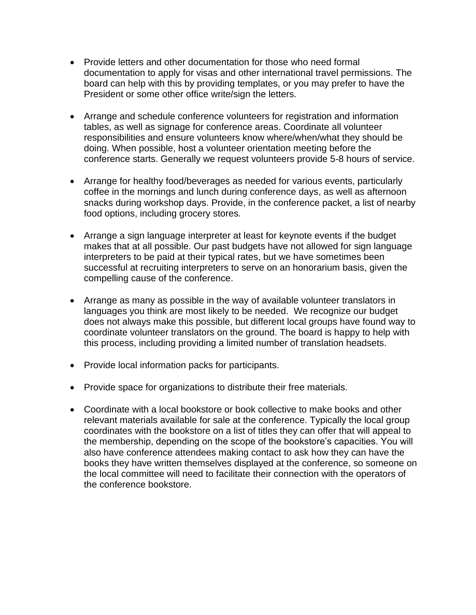- Provide letters and other documentation for those who need formal documentation to apply for visas and other international travel permissions. The board can help with this by providing templates, or you may prefer to have the President or some other office write/sign the letters.
- Arrange and schedule conference volunteers for registration and information tables, as well as signage for conference areas. Coordinate all volunteer responsibilities and ensure volunteers know where/when/what they should be doing. When possible, host a volunteer orientation meeting before the conference starts. Generally we request volunteers provide 5-8 hours of service.
- Arrange for healthy food/beverages as needed for various events, particularly coffee in the mornings and lunch during conference days, as well as afternoon snacks during workshop days. Provide, in the conference packet, a list of nearby food options, including grocery stores.
- Arrange a sign language interpreter at least for keynote events if the budget makes that at all possible. Our past budgets have not allowed for sign language interpreters to be paid at their typical rates, but we have sometimes been successful at recruiting interpreters to serve on an honorarium basis, given the compelling cause of the conference.
- Arrange as many as possible in the way of available volunteer translators in languages you think are most likely to be needed. We recognize our budget does not always make this possible, but different local groups have found way to coordinate volunteer translators on the ground. The board is happy to help with this process, including providing a limited number of translation headsets.
- Provide local information packs for participants.
- Provide space for organizations to distribute their free materials.
- Coordinate with a local bookstore or book collective to make books and other relevant materials available for sale at the conference. Typically the local group coordinates with the bookstore on a list of titles they can offer that will appeal to the membership, depending on the scope of the bookstore's capacities. You will also have conference attendees making contact to ask how they can have the books they have written themselves displayed at the conference, so someone on the local committee will need to facilitate their connection with the operators of the conference bookstore.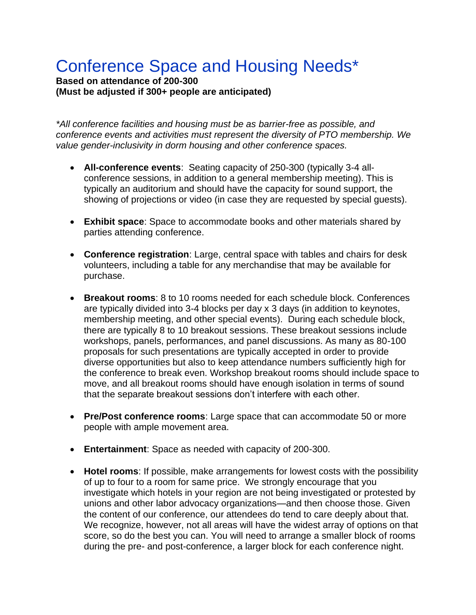## Conference Space and Housing Needs\*

#### **Based on attendance of 200-300 (Must be adjusted if 300+ people are anticipated)**

*\*All conference facilities and housing must be as barrier-free as possible, and conference events and activities must represent the diversity of PTO membership. We value gender-inclusivity in dorm housing and other conference spaces.*

- **All-conference events**: Seating capacity of 250-300 (typically 3-4 allconference sessions, in addition to a general membership meeting). This is typically an auditorium and should have the capacity for sound support, the showing of projections or video (in case they are requested by special guests).
- **Exhibit space**: Space to accommodate books and other materials shared by parties attending conference.
- **Conference registration**: Large, central space with tables and chairs for desk volunteers, including a table for any merchandise that may be available for purchase.
- **Breakout rooms**: 8 to 10 rooms needed for each schedule block. Conferences are typically divided into 3-4 blocks per day x 3 days (in addition to keynotes, membership meeting, and other special events). During each schedule block, there are typically 8 to 10 breakout sessions. These breakout sessions include workshops, panels, performances, and panel discussions. As many as 80-100 proposals for such presentations are typically accepted in order to provide diverse opportunities but also to keep attendance numbers sufficiently high for the conference to break even. Workshop breakout rooms should include space to move, and all breakout rooms should have enough isolation in terms of sound that the separate breakout sessions don't interfere with each other.
- **Pre/Post conference rooms**: Large space that can accommodate 50 or more people with ample movement area.
- **Entertainment**: Space as needed with capacity of 200-300.
- **Hotel rooms**: If possible, make arrangements for lowest costs with the possibility of up to four to a room for same price. We strongly encourage that you investigate which hotels in your region are not being investigated or protested by unions and other labor advocacy organizations—and then choose those. Given the content of our conference, our attendees do tend to care deeply about that. We recognize, however, not all areas will have the widest array of options on that score, so do the best you can. You will need to arrange a smaller block of rooms during the pre- and post-conference, a larger block for each conference night.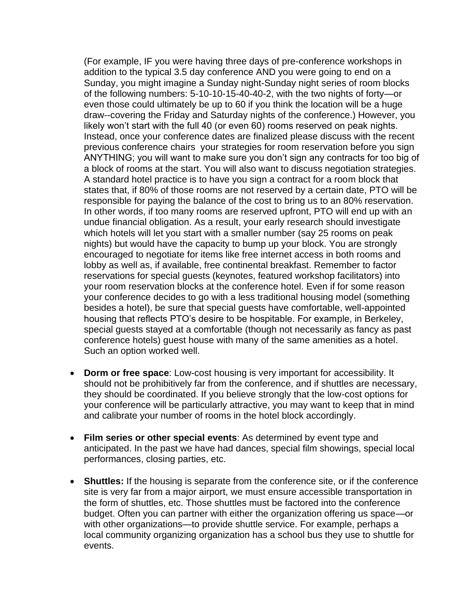(For example, IF you were having three days of pre-conference workshops in addition to the typical 3.5 day conference AND you were going to end on a Sunday, you might imagine a Sunday night-Sunday night series of room blocks of the following numbers: 5-10-10-15-40-40-2, with the two nights of forty—or even those could ultimately be up to 60 if you think the location will be a huge draw--covering the Friday and Saturday nights of the conference.) However, you likely won't start with the full 40 (or even 60) rooms reserved on peak nights. Instead, once your conference dates are finalized please discuss with the recent previous conference chairs your strategies for room reservation before you sign ANYTHING; you will want to make sure you don't sign any contracts for too big of a block of rooms at the start. You will also want to discuss negotiation strategies. A standard hotel practice is to have you sign a contract for a room block that states that, if 80% of those rooms are not reserved by a certain date, PTO will be responsible for paying the balance of the cost to bring us to an 80% reservation. In other words, if too many rooms are reserved upfront, PTO will end up with an undue financial obligation. As a result, your early research should investigate which hotels will let you start with a smaller number (say 25 rooms on peak nights) but would have the capacity to bump up your block. You are strongly encouraged to negotiate for items like free internet access in both rooms and lobby as well as, if available, free continental breakfast. Remember to factor reservations for special guests (keynotes, featured workshop facilitators) into your room reservation blocks at the conference hotel. Even if for some reason your conference decides to go with a less traditional housing model (something besides a hotel), be sure that special guests have comfortable, well-appointed housing that reflects PTO's desire to be hospitable. For example, in Berkeley, special guests stayed at a comfortable (though not necessarily as fancy as past conference hotels) guest house with many of the same amenities as a hotel. Such an option worked well.

- **Dorm or free space**: Low-cost housing is very important for accessibility. It should not be prohibitively far from the conference, and if shuttles are necessary, they should be coordinated. If you believe strongly that the low-cost options for your conference will be particularly attractive, you may want to keep that in mind and calibrate your number of rooms in the hotel block accordingly.
- **Film series or other special events**: As determined by event type and anticipated. In the past we have had dances, special film showings, special local performances, closing parties, etc.
- **Shuttles:** If the housing is separate from the conference site, or if the conference site is very far from a major airport, we must ensure accessible transportation in the form of shuttles, etc. Those shuttles must be factored into the conference budget. Often you can partner with either the organization offering us space—or with other organizations—to provide shuttle service. For example, perhaps a local community organizing organization has a school bus they use to shuttle for events.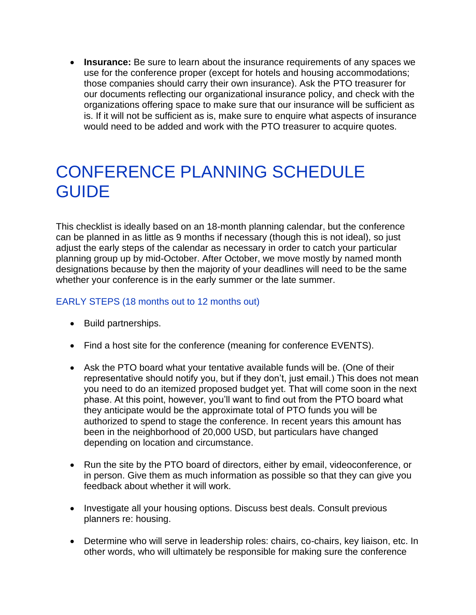• **Insurance:** Be sure to learn about the insurance requirements of any spaces we use for the conference proper (except for hotels and housing accommodations; those companies should carry their own insurance). Ask the PTO treasurer for our documents reflecting our organizational insurance policy, and check with the organizations offering space to make sure that our insurance will be sufficient as is. If it will not be sufficient as is, make sure to enquire what aspects of insurance would need to be added and work with the PTO treasurer to acquire quotes.

### CONFERENCE PLANNING SCHEDULE **GUIDE**

This checklist is ideally based on an 18-month planning calendar, but the conference can be planned in as little as 9 months if necessary (though this is not ideal), so just adjust the early steps of the calendar as necessary in order to catch your particular planning group up by mid-October. After October, we move mostly by named month designations because by then the majority of your deadlines will need to be the same whether your conference is in the early summer or the late summer.

#### EARLY STEPS (18 months out to 12 months out)

- Build partnerships.
- Find a host site for the conference (meaning for conference EVENTS).
- Ask the PTO board what your tentative available funds will be. (One of their representative should notify you, but if they don't, just email.) This does not mean you need to do an itemized proposed budget yet. That will come soon in the next phase. At this point, however, you'll want to find out from the PTO board what they anticipate would be the approximate total of PTO funds you will be authorized to spend to stage the conference. In recent years this amount has been in the neighborhood of 20,000 USD, but particulars have changed depending on location and circumstance.
- Run the site by the PTO board of directors, either by email, videoconference, or in person. Give them as much information as possible so that they can give you feedback about whether it will work.
- Investigate all your housing options. Discuss best deals. Consult previous planners re: housing.
- Determine who will serve in leadership roles: chairs, co-chairs, key liaison, etc. In other words, who will ultimately be responsible for making sure the conference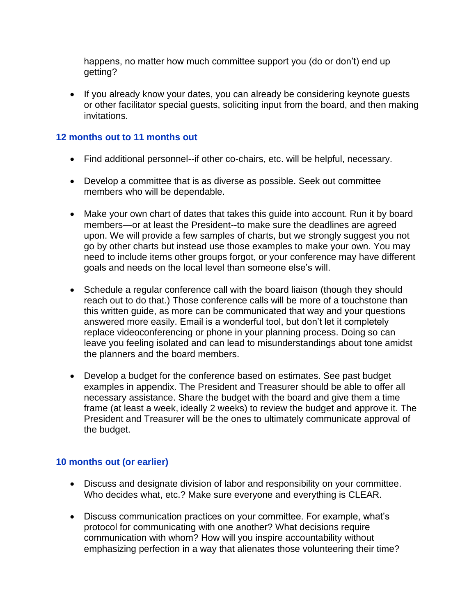happens, no matter how much committee support you (do or don't) end up getting?

• If you already know your dates, you can already be considering keynote guests or other facilitator special guests, soliciting input from the board, and then making invitations.

#### **12 months out to 11 months out**

- Find additional personnel--if other co-chairs, etc. will be helpful, necessary.
- Develop a committee that is as diverse as possible. Seek out committee members who will be dependable.
- Make your own chart of dates that takes this quide into account. Run it by board members—or at least the President--to make sure the deadlines are agreed upon. We will provide a few samples of charts, but we strongly suggest you not go by other charts but instead use those examples to make your own. You may need to include items other groups forgot, or your conference may have different goals and needs on the local level than someone else's will.
- Schedule a regular conference call with the board liaison (though they should reach out to do that.) Those conference calls will be more of a touchstone than this written guide, as more can be communicated that way and your questions answered more easily. Email is a wonderful tool, but don't let it completely replace videoconferencing or phone in your planning process. Doing so can leave you feeling isolated and can lead to misunderstandings about tone amidst the planners and the board members.
- Develop a budget for the conference based on estimates. See past budget examples in appendix. The President and Treasurer should be able to offer all necessary assistance. Share the budget with the board and give them a time frame (at least a week, ideally 2 weeks) to review the budget and approve it. The President and Treasurer will be the ones to ultimately communicate approval of the budget.

#### **10 months out (or earlier)**

- Discuss and designate division of labor and responsibility on your committee. Who decides what, etc.? Make sure everyone and everything is CLEAR.
- Discuss communication practices on your committee. For example, what's protocol for communicating with one another? What decisions require communication with whom? How will you inspire accountability without emphasizing perfection in a way that alienates those volunteering their time?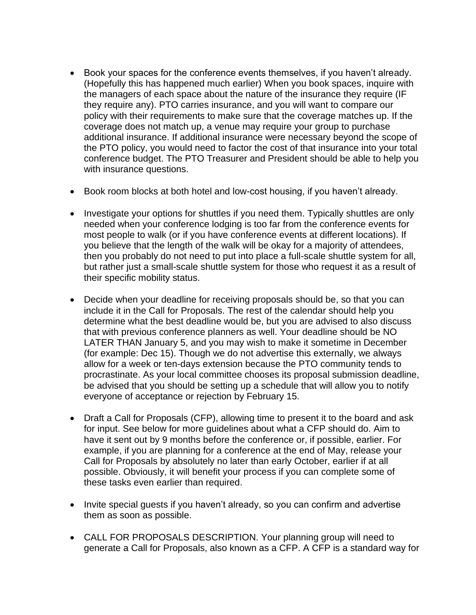- Book your spaces for the conference events themselves, if you haven't already. (Hopefully this has happened much earlier) When you book spaces, inquire with the managers of each space about the nature of the insurance they require (IF they require any). PTO carries insurance, and you will want to compare our policy with their requirements to make sure that the coverage matches up. If the coverage does not match up, a venue may require your group to purchase additional insurance. If additional insurance were necessary beyond the scope of the PTO policy, you would need to factor the cost of that insurance into your total conference budget. The PTO Treasurer and President should be able to help you with insurance questions.
- Book room blocks at both hotel and low-cost housing, if you haven't already.
- Investigate your options for shuttles if you need them. Typically shuttles are only needed when your conference lodging is too far from the conference events for most people to walk (or if you have conference events at different locations). If you believe that the length of the walk will be okay for a majority of attendees, then you probably do not need to put into place a full-scale shuttle system for all, but rather just a small-scale shuttle system for those who request it as a result of their specific mobility status.
- Decide when your deadline for receiving proposals should be, so that you can include it in the Call for Proposals. The rest of the calendar should help you determine what the best deadline would be, but you are advised to also discuss that with previous conference planners as well. Your deadline should be NO LATER THAN January 5, and you may wish to make it sometime in December (for example: Dec 15). Though we do not advertise this externally, we always allow for a week or ten-days extension because the PTO community tends to procrastinate. As your local committee chooses its proposal submission deadline, be advised that you should be setting up a schedule that will allow you to notify everyone of acceptance or rejection by February 15.
- Draft a Call for Proposals (CFP), allowing time to present it to the board and ask for input. See below for more guidelines about what a CFP should do. Aim to have it sent out by 9 months before the conference or, if possible, earlier. For example, if you are planning for a conference at the end of May, release your Call for Proposals by absolutely no later than early October, earlier if at all possible. Obviously, it will benefit your process if you can complete some of these tasks even earlier than required.
- Invite special quests if you haven't already, so you can confirm and advertise them as soon as possible.
- CALL FOR PROPOSALS DESCRIPTION. Your planning group will need to generate a Call for Proposals, also known as a CFP. A CFP is a standard way for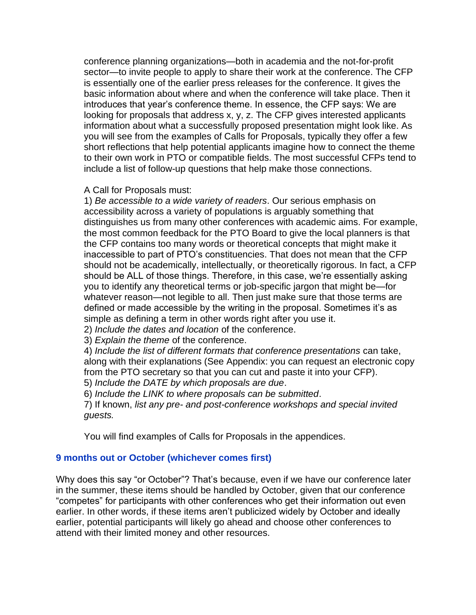conference planning organizations—both in academia and the not-for-profit sector—to invite people to apply to share their work at the conference. The CFP is essentially one of the earlier press releases for the conference. It gives the basic information about where and when the conference will take place. Then it introduces that year's conference theme. In essence, the CFP says: We are looking for proposals that address x, y, z. The CFP gives interested applicants information about what a successfully proposed presentation might look like. As you will see from the examples of Calls for Proposals, typically they offer a few short reflections that help potential applicants imagine how to connect the theme to their own work in PTO or compatible fields. The most successful CFPs tend to include a list of follow-up questions that help make those connections.

#### A Call for Proposals must:

1) *Be accessible to a wide variety of readers*. Our serious emphasis on accessibility across a variety of populations is arguably something that distinguishes us from many other conferences with academic aims. For example, the most common feedback for the PTO Board to give the local planners is that the CFP contains too many words or theoretical concepts that might make it inaccessible to part of PTO's constituencies. That does not mean that the CFP should not be academically, intellectually, or theoretically rigorous. In fact, a CFP should be ALL of those things. Therefore, in this case, we're essentially asking you to identify any theoretical terms or job-specific jargon that might be—for whatever reason—not legible to all. Then just make sure that those terms are defined or made accessible by the writing in the proposal. Sometimes it's as simple as defining a term in other words right after you use it.

2) *Include the dates and location* of the conference.

3) *Explain the theme* of the conference.

4) *Include the list of different formats that conference presentations* can take, along with their explanations (See Appendix: you can request an electronic copy from the PTO secretary so that you can cut and paste it into your CFP). 5) *Include the DATE by which proposals are due*.

6) *Include the LINK to where proposals can be submitted*.

7) If known, *list any pre- and post-conference workshops and special invited guests.*

You will find examples of Calls for Proposals in the appendices.

#### **9 months out or October (whichever comes first)**

Why does this say "or October"? That's because, even if we have our conference later in the summer, these items should be handled by October, given that our conference "competes" for participants with other conferences who get their information out even earlier. In other words, if these items aren't publicized widely by October and ideally earlier, potential participants will likely go ahead and choose other conferences to attend with their limited money and other resources.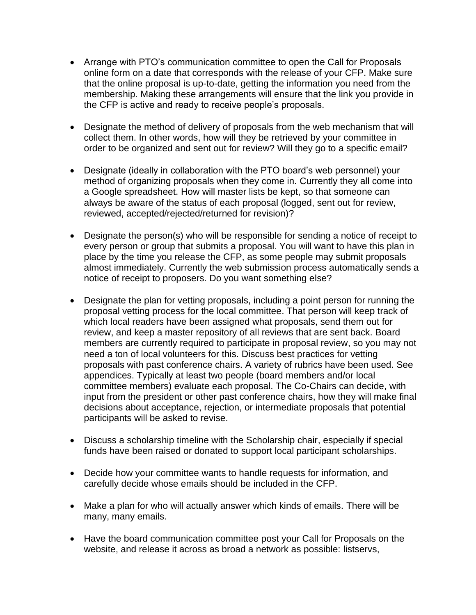- Arrange with PTO's communication committee to open the Call for Proposals online form on a date that corresponds with the release of your CFP. Make sure that the online proposal is up-to-date, getting the information you need from the membership. Making these arrangements will ensure that the link you provide in the CFP is active and ready to receive people's proposals.
- Designate the method of delivery of proposals from the web mechanism that will collect them. In other words, how will they be retrieved by your committee in order to be organized and sent out for review? Will they go to a specific email?
- Designate (ideally in collaboration with the PTO board's web personnel) your method of organizing proposals when they come in. Currently they all come into a Google spreadsheet. How will master lists be kept, so that someone can always be aware of the status of each proposal (logged, sent out for review, reviewed, accepted/rejected/returned for revision)?
- Designate the person(s) who will be responsible for sending a notice of receipt to every person or group that submits a proposal. You will want to have this plan in place by the time you release the CFP, as some people may submit proposals almost immediately. Currently the web submission process automatically sends a notice of receipt to proposers. Do you want something else?
- Designate the plan for vetting proposals, including a point person for running the proposal vetting process for the local committee. That person will keep track of which local readers have been assigned what proposals, send them out for review, and keep a master repository of all reviews that are sent back. Board members are currently required to participate in proposal review, so you may not need a ton of local volunteers for this. Discuss best practices for vetting proposals with past conference chairs. A variety of rubrics have been used. See appendices. Typically at least two people (board members and/or local committee members) evaluate each proposal. The Co-Chairs can decide, with input from the president or other past conference chairs, how they will make final decisions about acceptance, rejection, or intermediate proposals that potential participants will be asked to revise.
- Discuss a scholarship timeline with the Scholarship chair, especially if special funds have been raised or donated to support local participant scholarships.
- Decide how your committee wants to handle requests for information, and carefully decide whose emails should be included in the CFP.
- Make a plan for who will actually answer which kinds of emails. There will be many, many emails.
- Have the board communication committee post your Call for Proposals on the website, and release it across as broad a network as possible: listservs,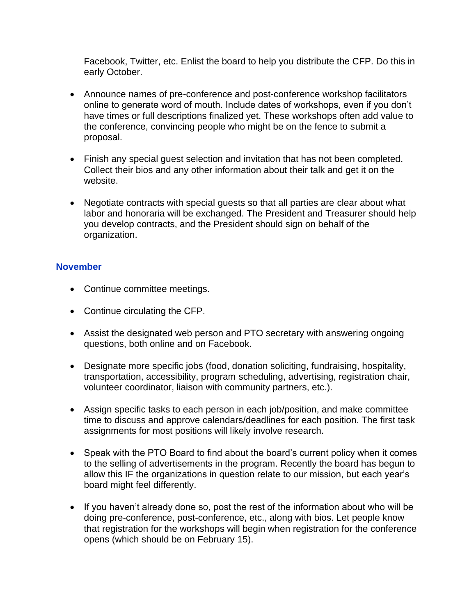Facebook, Twitter, etc. Enlist the board to help you distribute the CFP. Do this in early October.

- Announce names of pre-conference and post-conference workshop facilitators online to generate word of mouth. Include dates of workshops, even if you don't have times or full descriptions finalized yet. These workshops often add value to the conference, convincing people who might be on the fence to submit a proposal.
- Finish any special guest selection and invitation that has not been completed. Collect their bios and any other information about their talk and get it on the website.
- Negotiate contracts with special guests so that all parties are clear about what labor and honoraria will be exchanged. The President and Treasurer should help you develop contracts, and the President should sign on behalf of the organization.

#### **November**

- Continue committee meetings.
- Continue circulating the CFP.
- Assist the designated web person and PTO secretary with answering ongoing questions, both online and on Facebook.
- Designate more specific jobs (food, donation soliciting, fundraising, hospitality, transportation, accessibility, program scheduling, advertising, registration chair, volunteer coordinator, liaison with community partners, etc.).
- Assign specific tasks to each person in each job/position, and make committee time to discuss and approve calendars/deadlines for each position. The first task assignments for most positions will likely involve research.
- Speak with the PTO Board to find about the board's current policy when it comes to the selling of advertisements in the program. Recently the board has begun to allow this IF the organizations in question relate to our mission, but each year's board might feel differently.
- If you haven't already done so, post the rest of the information about who will be doing pre-conference, post-conference, etc., along with bios. Let people know that registration for the workshops will begin when registration for the conference opens (which should be on February 15).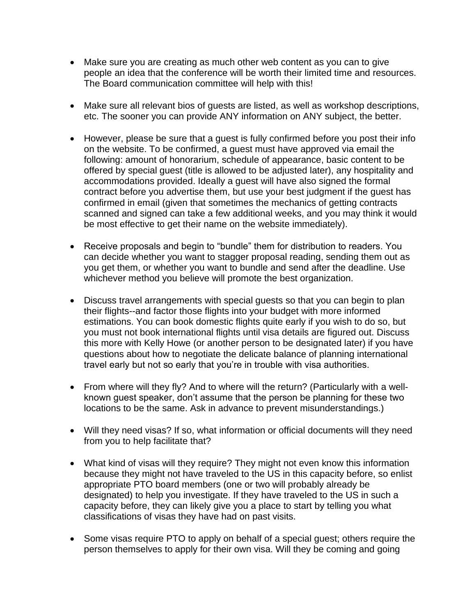- Make sure you are creating as much other web content as you can to give people an idea that the conference will be worth their limited time and resources. The Board communication committee will help with this!
- Make sure all relevant bios of guests are listed, as well as workshop descriptions, etc. The sooner you can provide ANY information on ANY subject, the better.
- However, please be sure that a quest is fully confirmed before you post their info on the website. To be confirmed, a guest must have approved via email the following: amount of honorarium, schedule of appearance, basic content to be offered by special guest (title is allowed to be adjusted later), any hospitality and accommodations provided. Ideally a guest will have also signed the formal contract before you advertise them, but use your best judgment if the guest has confirmed in email (given that sometimes the mechanics of getting contracts scanned and signed can take a few additional weeks, and you may think it would be most effective to get their name on the website immediately).
- Receive proposals and begin to "bundle" them for distribution to readers. You can decide whether you want to stagger proposal reading, sending them out as you get them, or whether you want to bundle and send after the deadline. Use whichever method you believe will promote the best organization.
- Discuss travel arrangements with special guests so that you can begin to plan their flights--and factor those flights into your budget with more informed estimations. You can book domestic flights quite early if you wish to do so, but you must not book international flights until visa details are figured out. Discuss this more with Kelly Howe (or another person to be designated later) if you have questions about how to negotiate the delicate balance of planning international travel early but not so early that you're in trouble with visa authorities.
- From where will they fly? And to where will the return? (Particularly with a wellknown guest speaker, don't assume that the person be planning for these two locations to be the same. Ask in advance to prevent misunderstandings.)
- Will they need visas? If so, what information or official documents will they need from you to help facilitate that?
- What kind of visas will they require? They might not even know this information because they might not have traveled to the US in this capacity before, so enlist appropriate PTO board members (one or two will probably already be designated) to help you investigate. If they have traveled to the US in such a capacity before, they can likely give you a place to start by telling you what classifications of visas they have had on past visits.
- Some visas require PTO to apply on behalf of a special guest; others require the person themselves to apply for their own visa. Will they be coming and going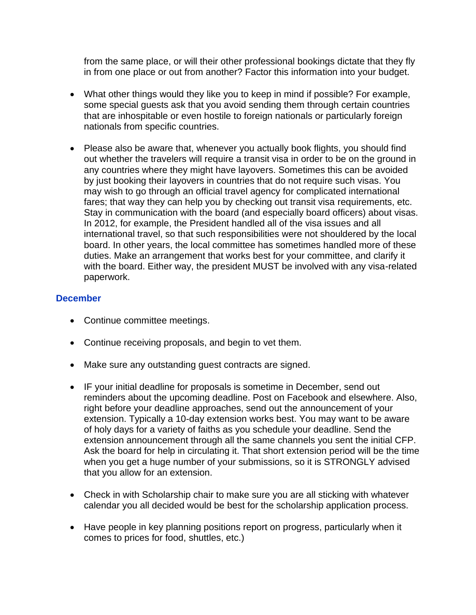from the same place, or will their other professional bookings dictate that they fly in from one place or out from another? Factor this information into your budget.

- What other things would they like you to keep in mind if possible? For example, some special guests ask that you avoid sending them through certain countries that are inhospitable or even hostile to foreign nationals or particularly foreign nationals from specific countries.
- Please also be aware that, whenever you actually book flights, you should find out whether the travelers will require a transit visa in order to be on the ground in any countries where they might have layovers. Sometimes this can be avoided by just booking their layovers in countries that do not require such visas. You may wish to go through an official travel agency for complicated international fares; that way they can help you by checking out transit visa requirements, etc. Stay in communication with the board (and especially board officers) about visas. In 2012, for example, the President handled all of the visa issues and all international travel, so that such responsibilities were not shouldered by the local board. In other years, the local committee has sometimes handled more of these duties. Make an arrangement that works best for your committee, and clarify it with the board. Either way, the president MUST be involved with any visa-related paperwork.

#### **December**

- Continue committee meetings.
- Continue receiving proposals, and begin to vet them.
- Make sure any outstanding guest contracts are signed.
- IF your initial deadline for proposals is sometime in December, send out reminders about the upcoming deadline. Post on Facebook and elsewhere. Also, right before your deadline approaches, send out the announcement of your extension. Typically a 10-day extension works best. You may want to be aware of holy days for a variety of faiths as you schedule your deadline. Send the extension announcement through all the same channels you sent the initial CFP. Ask the board for help in circulating it. That short extension period will be the time when you get a huge number of your submissions, so it is STRONGLY advised that you allow for an extension.
- Check in with Scholarship chair to make sure you are all sticking with whatever calendar you all decided would be best for the scholarship application process.
- Have people in key planning positions report on progress, particularly when it comes to prices for food, shuttles, etc.)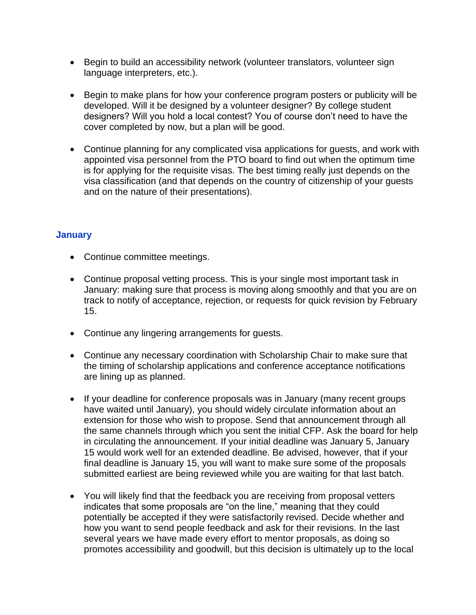- Begin to build an accessibility network (volunteer translators, volunteer sign language interpreters, etc.).
- Begin to make plans for how your conference program posters or publicity will be developed. Will it be designed by a volunteer designer? By college student designers? Will you hold a local contest? You of course don't need to have the cover completed by now, but a plan will be good.
- Continue planning for any complicated visa applications for guests, and work with appointed visa personnel from the PTO board to find out when the optimum time is for applying for the requisite visas. The best timing really just depends on the visa classification (and that depends on the country of citizenship of your guests and on the nature of their presentations).

#### **January**

- Continue committee meetings.
- Continue proposal vetting process. This is your single most important task in January: making sure that process is moving along smoothly and that you are on track to notify of acceptance, rejection, or requests for quick revision by February 15.
- Continue any lingering arrangements for guests.
- Continue any necessary coordination with Scholarship Chair to make sure that the timing of scholarship applications and conference acceptance notifications are lining up as planned.
- If your deadline for conference proposals was in January (many recent groups have waited until January), you should widely circulate information about an extension for those who wish to propose. Send that announcement through all the same channels through which you sent the initial CFP. Ask the board for help in circulating the announcement. If your initial deadline was January 5, January 15 would work well for an extended deadline. Be advised, however, that if your final deadline is January 15, you will want to make sure some of the proposals submitted earliest are being reviewed while you are waiting for that last batch.
- You will likely find that the feedback you are receiving from proposal vetters indicates that some proposals are "on the line," meaning that they could potentially be accepted if they were satisfactorily revised. Decide whether and how you want to send people feedback and ask for their revisions. In the last several years we have made every effort to mentor proposals, as doing so promotes accessibility and goodwill, but this decision is ultimately up to the local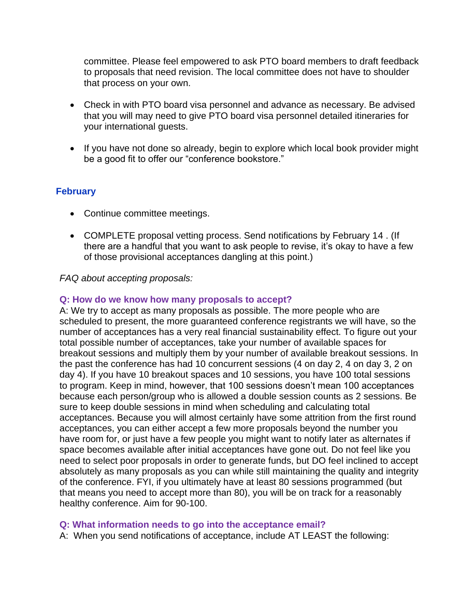committee. Please feel empowered to ask PTO board members to draft feedback to proposals that need revision. The local committee does not have to shoulder that process on your own.

- Check in with PTO board visa personnel and advance as necessary. Be advised that you will may need to give PTO board visa personnel detailed itineraries for your international guests.
- If you have not done so already, begin to explore which local book provider might be a good fit to offer our "conference bookstore."

#### **February**

- Continue committee meetings.
- COMPLETE proposal vetting process. Send notifications by February 14 . (If there are a handful that you want to ask people to revise, it's okay to have a few of those provisional acceptances dangling at this point.)

#### *FAQ about accepting proposals:*

#### **Q: How do we know how many proposals to accept?**

A: We try to accept as many proposals as possible. The more people who are scheduled to present, the more guaranteed conference registrants we will have, so the number of acceptances has a very real financial sustainability effect. To figure out your total possible number of acceptances, take your number of available spaces for breakout sessions and multiply them by your number of available breakout sessions. In the past the conference has had 10 concurrent sessions (4 on day 2, 4 on day 3, 2 on day 4). If you have 10 breakout spaces and 10 sessions, you have 100 total sessions to program. Keep in mind, however, that 100 sessions doesn't mean 100 acceptances because each person/group who is allowed a double session counts as 2 sessions. Be sure to keep double sessions in mind when scheduling and calculating total acceptances. Because you will almost certainly have some attrition from the first round acceptances, you can either accept a few more proposals beyond the number you have room for, or just have a few people you might want to notify later as alternates if space becomes available after initial acceptances have gone out. Do not feel like you need to select poor proposals in order to generate funds, but DO feel inclined to accept absolutely as many proposals as you can while still maintaining the quality and integrity of the conference. FYI, if you ultimately have at least 80 sessions programmed (but that means you need to accept more than 80), you will be on track for a reasonably healthy conference. Aim for 90-100.

#### **Q: What information needs to go into the acceptance email?**

A: When you send notifications of acceptance, include AT LEAST the following: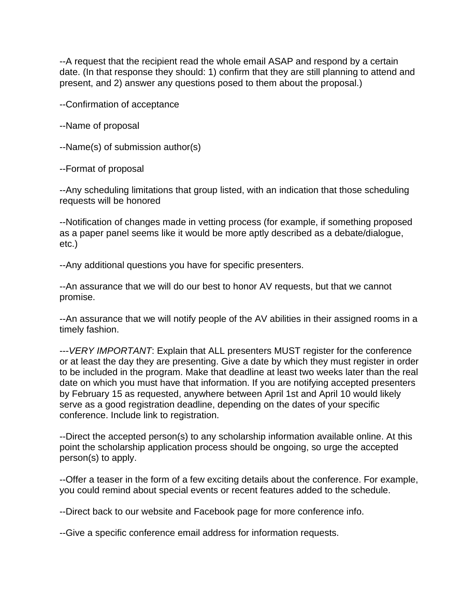--A request that the recipient read the whole email ASAP and respond by a certain date. (In that response they should: 1) confirm that they are still planning to attend and present, and 2) answer any questions posed to them about the proposal.)

--Confirmation of acceptance

--Name of proposal

--Name(s) of submission author(s)

--Format of proposal

--Any scheduling limitations that group listed, with an indication that those scheduling requests will be honored

--Notification of changes made in vetting process (for example, if something proposed as a paper panel seems like it would be more aptly described as a debate/dialogue, etc.)

--Any additional questions you have for specific presenters.

--An assurance that we will do our best to honor AV requests, but that we cannot promise.

--An assurance that we will notify people of the AV abilities in their assigned rooms in a timely fashion.

---*VERY IMPORTANT*: Explain that ALL presenters MUST register for the conference or at least the day they are presenting. Give a date by which they must register in order to be included in the program. Make that deadline at least two weeks later than the real date on which you must have that information. If you are notifying accepted presenters by February 15 as requested, anywhere between April 1st and April 10 would likely serve as a good registration deadline, depending on the dates of your specific conference. Include link to registration.

--Direct the accepted person(s) to any scholarship information available online. At this point the scholarship application process should be ongoing, so urge the accepted person(s) to apply.

--Offer a teaser in the form of a few exciting details about the conference. For example, you could remind about special events or recent features added to the schedule.

--Direct back to our website and Facebook page for more conference info.

--Give a specific conference email address for information requests.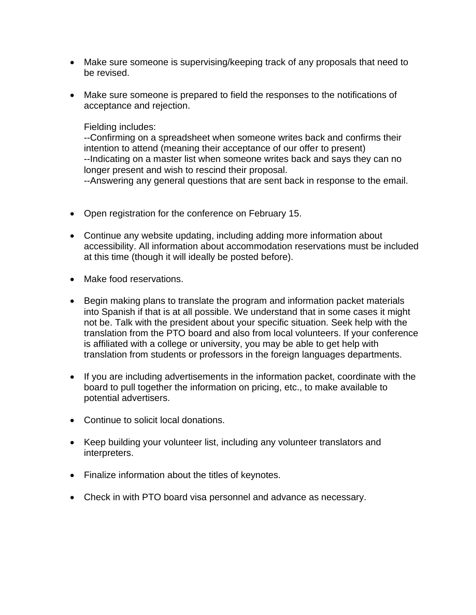- Make sure someone is supervising/keeping track of any proposals that need to be revised.
- Make sure someone is prepared to field the responses to the notifications of acceptance and rejection.

#### Fielding includes:

--Confirming on a spreadsheet when someone writes back and confirms their intention to attend (meaning their acceptance of our offer to present) --Indicating on a master list when someone writes back and says they can no longer present and wish to rescind their proposal.

--Answering any general questions that are sent back in response to the email.

- Open registration for the conference on February 15.
- Continue any website updating, including adding more information about accessibility. All information about accommodation reservations must be included at this time (though it will ideally be posted before).
- Make food reservations.
- Begin making plans to translate the program and information packet materials into Spanish if that is at all possible. We understand that in some cases it might not be. Talk with the president about your specific situation. Seek help with the translation from the PTO board and also from local volunteers. If your conference is affiliated with a college or university, you may be able to get help with translation from students or professors in the foreign languages departments.
- If you are including advertisements in the information packet, coordinate with the board to pull together the information on pricing, etc., to make available to potential advertisers.
- Continue to solicit local donations.
- Keep building your volunteer list, including any volunteer translators and interpreters.
- Finalize information about the titles of keynotes.
- Check in with PTO board visa personnel and advance as necessary.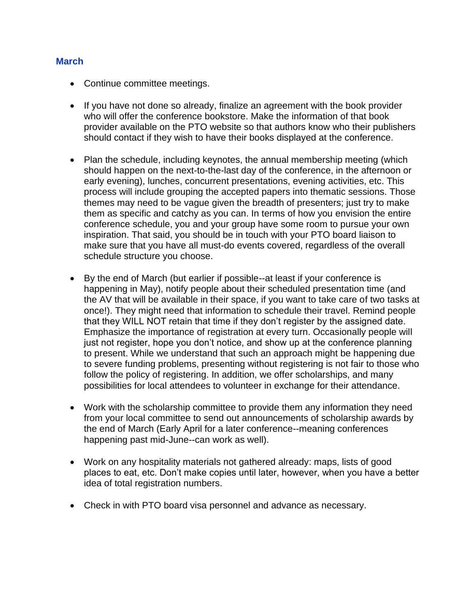#### **March**

- Continue committee meetings.
- If you have not done so already, finalize an agreement with the book provider who will offer the conference bookstore. Make the information of that book provider available on the PTO website so that authors know who their publishers should contact if they wish to have their books displayed at the conference.
- Plan the schedule, including keynotes, the annual membership meeting (which should happen on the next-to-the-last day of the conference, in the afternoon or early evening), lunches, concurrent presentations, evening activities, etc. This process will include grouping the accepted papers into thematic sessions. Those themes may need to be vague given the breadth of presenters; just try to make them as specific and catchy as you can. In terms of how you envision the entire conference schedule, you and your group have some room to pursue your own inspiration. That said, you should be in touch with your PTO board liaison to make sure that you have all must-do events covered, regardless of the overall schedule structure you choose.
- By the end of March (but earlier if possible--at least if your conference is happening in May), notify people about their scheduled presentation time (and the AV that will be available in their space, if you want to take care of two tasks at once!). They might need that information to schedule their travel. Remind people that they WILL NOT retain that time if they don't register by the assigned date. Emphasize the importance of registration at every turn. Occasionally people will just not register, hope you don't notice, and show up at the conference planning to present. While we understand that such an approach might be happening due to severe funding problems, presenting without registering is not fair to those who follow the policy of registering. In addition, we offer scholarships, and many possibilities for local attendees to volunteer in exchange for their attendance.
- Work with the scholarship committee to provide them any information they need from your local committee to send out announcements of scholarship awards by the end of March (Early April for a later conference--meaning conferences happening past mid-June--can work as well).
- Work on any hospitality materials not gathered already: maps, lists of good places to eat, etc. Don't make copies until later, however, when you have a better idea of total registration numbers.
- Check in with PTO board visa personnel and advance as necessary.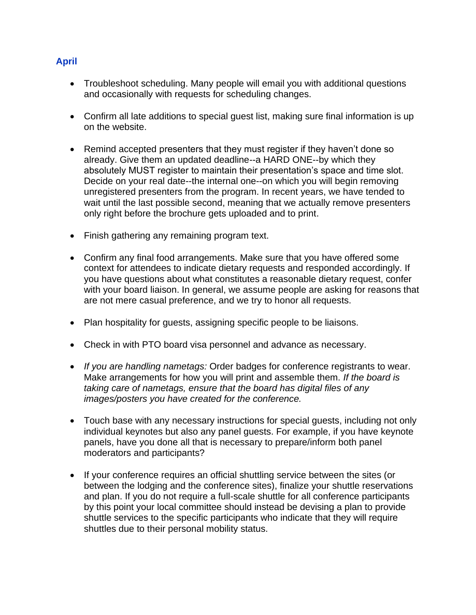#### **April**

- Troubleshoot scheduling. Many people will email you with additional questions and occasionally with requests for scheduling changes.
- Confirm all late additions to special guest list, making sure final information is up on the website.
- Remind accepted presenters that they must register if they haven't done so already. Give them an updated deadline--a HARD ONE--by which they absolutely MUST register to maintain their presentation's space and time slot. Decide on your real date--the internal one--on which you will begin removing unregistered presenters from the program. In recent years, we have tended to wait until the last possible second, meaning that we actually remove presenters only right before the brochure gets uploaded and to print.
- Finish gathering any remaining program text.
- Confirm any final food arrangements. Make sure that you have offered some context for attendees to indicate dietary requests and responded accordingly. If you have questions about what constitutes a reasonable dietary request, confer with your board liaison. In general, we assume people are asking for reasons that are not mere casual preference, and we try to honor all requests.
- Plan hospitality for guests, assigning specific people to be liaisons.
- Check in with PTO board visa personnel and advance as necessary.
- *If you are handling nametags:* Order badges for conference registrants to wear. Make arrangements for how you will print and assemble them. *If the board is taking care of nametags, ensure that the board has digital files of any images/posters you have created for the conference.*
- Touch base with any necessary instructions for special guests, including not only individual keynotes but also any panel guests. For example, if you have keynote panels, have you done all that is necessary to prepare/inform both panel moderators and participants?
- If your conference requires an official shuttling service between the sites (or between the lodging and the conference sites), finalize your shuttle reservations and plan. If you do not require a full-scale shuttle for all conference participants by this point your local committee should instead be devising a plan to provide shuttle services to the specific participants who indicate that they will require shuttles due to their personal mobility status.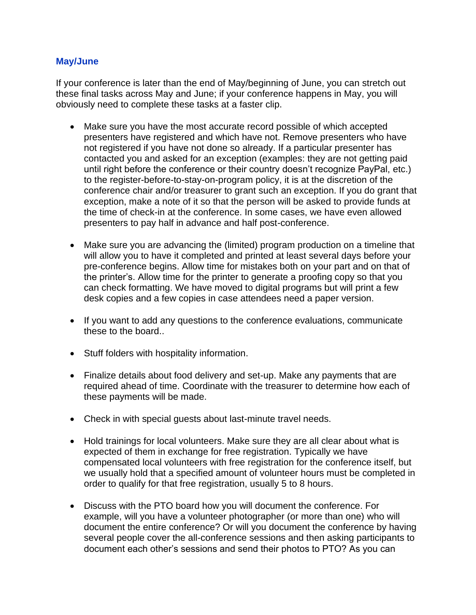#### **May/June**

If your conference is later than the end of May/beginning of June, you can stretch out these final tasks across May and June; if your conference happens in May, you will obviously need to complete these tasks at a faster clip.

- Make sure you have the most accurate record possible of which accepted presenters have registered and which have not. Remove presenters who have not registered if you have not done so already. If a particular presenter has contacted you and asked for an exception (examples: they are not getting paid until right before the conference or their country doesn't recognize PayPal, etc.) to the register-before-to-stay-on-program policy, it is at the discretion of the conference chair and/or treasurer to grant such an exception. If you do grant that exception, make a note of it so that the person will be asked to provide funds at the time of check-in at the conference. In some cases, we have even allowed presenters to pay half in advance and half post-conference.
- Make sure you are advancing the (limited) program production on a timeline that will allow you to have it completed and printed at least several days before your pre-conference begins. Allow time for mistakes both on your part and on that of the printer's. Allow time for the printer to generate a proofing copy so that you can check formatting. We have moved to digital programs but will print a few desk copies and a few copies in case attendees need a paper version.
- If you want to add any questions to the conference evaluations, communicate these to the board..
- Stuff folders with hospitality information.
- Finalize details about food delivery and set-up. Make any payments that are required ahead of time. Coordinate with the treasurer to determine how each of these payments will be made.
- Check in with special guests about last-minute travel needs.
- Hold trainings for local volunteers. Make sure they are all clear about what is expected of them in exchange for free registration. Typically we have compensated local volunteers with free registration for the conference itself, but we usually hold that a specified amount of volunteer hours must be completed in order to qualify for that free registration, usually 5 to 8 hours.
- Discuss with the PTO board how you will document the conference. For example, will you have a volunteer photographer (or more than one) who will document the entire conference? Or will you document the conference by having several people cover the all-conference sessions and then asking participants to document each other's sessions and send their photos to PTO? As you can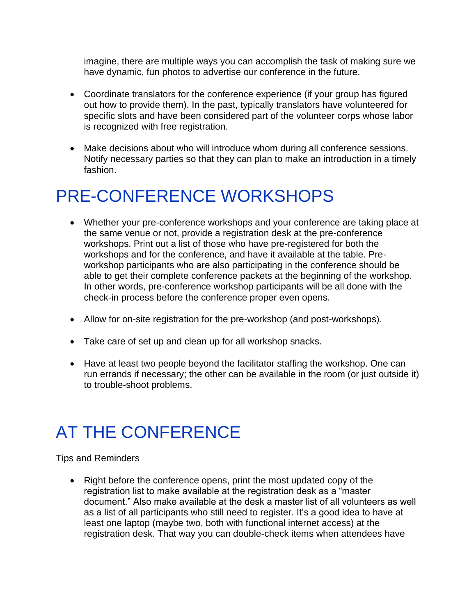imagine, there are multiple ways you can accomplish the task of making sure we have dynamic, fun photos to advertise our conference in the future.

- Coordinate translators for the conference experience (if your group has figured out how to provide them). In the past, typically translators have volunteered for specific slots and have been considered part of the volunteer corps whose labor is recognized with free registration.
- Make decisions about who will introduce whom during all conference sessions. Notify necessary parties so that they can plan to make an introduction in a timely fashion.

### PRE-CONFERENCE WORKSHOPS

- Whether your pre-conference workshops and your conference are taking place at the same venue or not, provide a registration desk at the pre-conference workshops. Print out a list of those who have pre-registered for both the workshops and for the conference, and have it available at the table. Preworkshop participants who are also participating in the conference should be able to get their complete conference packets at the beginning of the workshop. In other words, pre-conference workshop participants will be all done with the check-in process before the conference proper even opens.
- Allow for on-site registration for the pre-workshop (and post-workshops).
- Take care of set up and clean up for all workshop snacks.
- Have at least two people beyond the facilitator staffing the workshop. One can run errands if necessary; the other can be available in the room (or just outside it) to trouble-shoot problems.

### AT THE CONFERENCE

Tips and Reminders

• Right before the conference opens, print the most updated copy of the registration list to make available at the registration desk as a "master document." Also make available at the desk a master list of all volunteers as well as a list of all participants who still need to register. It's a good idea to have at least one laptop (maybe two, both with functional internet access) at the registration desk. That way you can double-check items when attendees have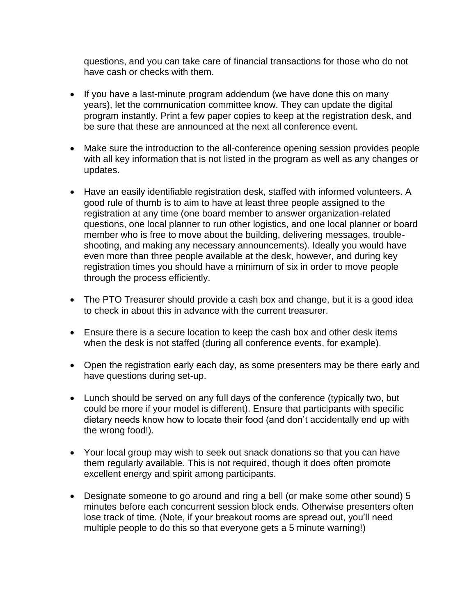questions, and you can take care of financial transactions for those who do not have cash or checks with them.

- If you have a last-minute program addendum (we have done this on many years), let the communication committee know. They can update the digital program instantly. Print a few paper copies to keep at the registration desk, and be sure that these are announced at the next all conference event.
- Make sure the introduction to the all-conference opening session provides people with all key information that is not listed in the program as well as any changes or updates.
- Have an easily identifiable registration desk, staffed with informed volunteers. A good rule of thumb is to aim to have at least three people assigned to the registration at any time (one board member to answer organization-related questions, one local planner to run other logistics, and one local planner or board member who is free to move about the building, delivering messages, troubleshooting, and making any necessary announcements). Ideally you would have even more than three people available at the desk, however, and during key registration times you should have a minimum of six in order to move people through the process efficiently.
- The PTO Treasurer should provide a cash box and change, but it is a good idea to check in about this in advance with the current treasurer.
- Ensure there is a secure location to keep the cash box and other desk items when the desk is not staffed (during all conference events, for example).
- Open the registration early each day, as some presenters may be there early and have questions during set-up.
- Lunch should be served on any full days of the conference (typically two, but could be more if your model is different). Ensure that participants with specific dietary needs know how to locate their food (and don't accidentally end up with the wrong food!).
- Your local group may wish to seek out snack donations so that you can have them regularly available. This is not required, though it does often promote excellent energy and spirit among participants.
- Designate someone to go around and ring a bell (or make some other sound) 5 minutes before each concurrent session block ends. Otherwise presenters often lose track of time. (Note, if your breakout rooms are spread out, you'll need multiple people to do this so that everyone gets a 5 minute warning!)